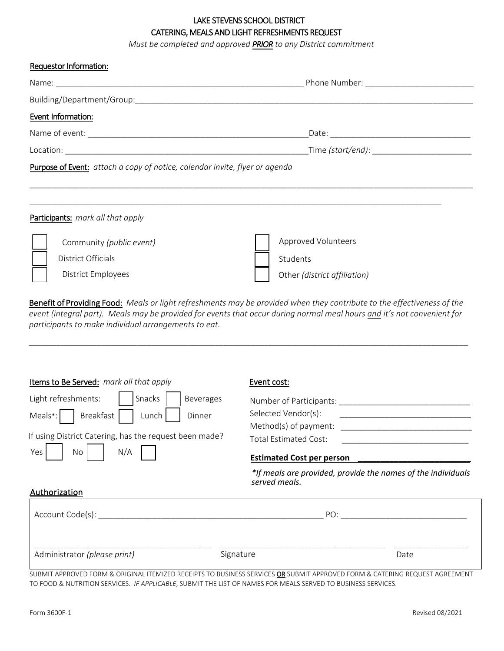# LAKE STEVENS SCHOOL DISTRICT CATERING, MEALS AND LIGHT REFRESHMENTS REQUEST

*Must be completed and approved PRIOR to any District commitment*

| Requestor Information:                                                      |  |
|-----------------------------------------------------------------------------|--|
|                                                                             |  |
|                                                                             |  |
| Event Information:                                                          |  |
|                                                                             |  |
|                                                                             |  |
| Purpose of Event: attach a copy of notice, calendar invite, flyer or agenda |  |
|                                                                             |  |
|                                                                             |  |
| Participants: mark all that apply                                           |  |
|                                                                             |  |

| Community ( <i>public event</i> ) | <b>Approved Volunteers</b>   |
|-----------------------------------|------------------------------|
| District Officials                | Students                     |
| District Employees                | Other (district affiliation) |

Benefit of Providing Food: *Meals or light refreshments may be provided when they contribute to the effectiveness of the event (integral part). Meals may be provided for events that occur during normal meal hours and it's not convenient for participants to make individual arrangements to eat.* 

\_\_\_\_\_\_\_\_\_\_\_\_\_\_\_\_\_\_\_\_\_\_\_\_\_\_\_\_\_\_\_\_\_\_\_\_\_\_\_\_\_\_\_\_\_\_\_\_\_\_\_\_\_\_\_\_\_\_\_\_\_\_\_\_\_\_\_\_\_\_\_\_\_\_\_\_\_\_\_\_\_\_\_\_\_\_\_\_\_\_\_\_\_\_\_\_\_

| Items to Be Served: mark all that apply                                                                                                                                                           | Event cost:                                                                                                                                                                                                           |
|---------------------------------------------------------------------------------------------------------------------------------------------------------------------------------------------------|-----------------------------------------------------------------------------------------------------------------------------------------------------------------------------------------------------------------------|
| Snacks<br>Light refreshments:<br>Beverages<br>Breakfast<br>Meals <sup>*</sup> :<br>Dinner<br>Lunch<br>If using District Catering, has the request been made?<br>N/A<br>Yes<br>No<br>Authorization | Number of Participants:<br>Selected Vendor(s):<br>Method(s) of payment:<br>Total Estimated Cost:<br><b>Estimated Cost per person</b><br>*If meals are provided, provide the names of the individuals<br>served meals. |
| Account Code(s):                                                                                                                                                                                  | PO:                                                                                                                                                                                                                   |
| Administrator (please print)                                                                                                                                                                      | Signature<br>Date                                                                                                                                                                                                     |

SUBMIT APPROVED FORM & ORIGINAL ITEMIZED RECEIPTS TO BUSINESS SERVICES OR SUBMIT APPROVED FORM & CATERING REQUEST AGREEMENT TO FOOD & NUTRITION SERVICES. *IF APPLICABLE*, SUBMIT THE LIST OF NAMES FOR MEALS SERVED TO BUSINESS SERVICES.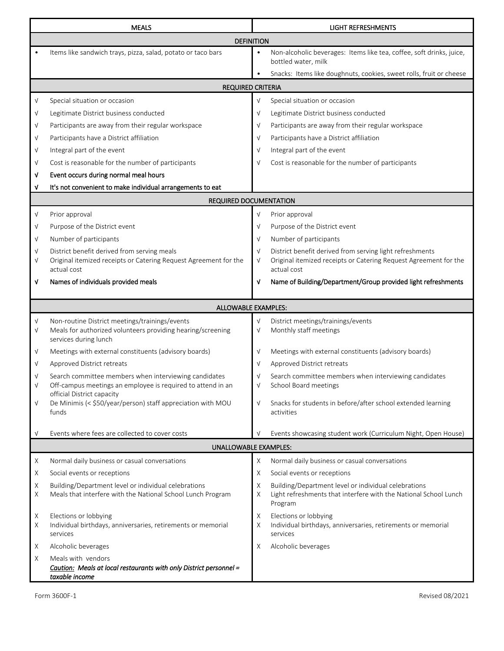|            | <b>MEALS</b>                                                                                                         |                 | <b>LIGHT REFRESHMENTS</b>                                                                                                           |  |  |  |
|------------|----------------------------------------------------------------------------------------------------------------------|-----------------|-------------------------------------------------------------------------------------------------------------------------------------|--|--|--|
|            | <b>DEFINITION</b>                                                                                                    |                 |                                                                                                                                     |  |  |  |
|            | Items like sandwich trays, pizza, salad, potato or taco bars                                                         | $\bullet$       | Non-alcoholic beverages: Items like tea, coffee, soft drinks, juice,<br>bottled water, milk                                         |  |  |  |
|            |                                                                                                                      | $\bullet$       | Snacks: Items like doughnuts, cookies, sweet rolls, fruit or cheese                                                                 |  |  |  |
|            | <b>REQUIRED CRITERIA</b>                                                                                             |                 |                                                                                                                                     |  |  |  |
| $\sqrt{}$  | Special situation or occasion                                                                                        | $\sqrt{ }$      | Special situation or occasion                                                                                                       |  |  |  |
| $\sqrt{}$  | Legitimate District business conducted                                                                               | $\sqrt{ }$      | Legitimate District business conducted                                                                                              |  |  |  |
| $\sqrt{}$  | Participants are away from their regular workspace                                                                   | $\sqrt{ }$      | Participants are away from their regular workspace                                                                                  |  |  |  |
| $\sqrt{}$  | Participants have a District affiliation                                                                             | $\sqrt{ }$      | Participants have a District affiliation                                                                                            |  |  |  |
| $\sqrt{}$  | Integral part of the event                                                                                           | $\sqrt{ }$      | Integral part of the event                                                                                                          |  |  |  |
| $\sqrt{}$  | Cost is reasonable for the number of participants                                                                    | $\sqrt{ }$      | Cost is reasonable for the number of participants                                                                                   |  |  |  |
| V          | Event occurs during normal meal hours                                                                                |                 |                                                                                                                                     |  |  |  |
| V          | It's not convenient to make individual arrangements to eat                                                           |                 |                                                                                                                                     |  |  |  |
|            | <b>REQUIRED DOCUMENTATION</b>                                                                                        |                 |                                                                                                                                     |  |  |  |
| V          | Prior approval                                                                                                       | $\sqrt{ }$      | Prior approval                                                                                                                      |  |  |  |
| $\sqrt{}$  | Purpose of the District event                                                                                        | $\sqrt{ }$      | Purpose of the District event                                                                                                       |  |  |  |
| $\sqrt{}$  | Number of participants                                                                                               | $\sqrt{ }$      | Number of participants                                                                                                              |  |  |  |
| $\sqrt{}$  | District benefit derived from serving meals                                                                          | $\sqrt{ }$      | District benefit derived from serving light refreshments                                                                            |  |  |  |
| $\sqrt{ }$ | Original itemized receipts or Catering Request Agreement for the<br>actual cost                                      | $\sqrt{ }$      | Original itemized receipts or Catering Request Agreement for the<br>actual cost                                                     |  |  |  |
| ٧          | Names of individuals provided meals                                                                                  | V               | Name of Building/Department/Group provided light refreshments                                                                       |  |  |  |
|            | ALLOWABLE EXAMPLES:                                                                                                  |                 |                                                                                                                                     |  |  |  |
| $\sqrt{}$  | Non-routine District meetings/trainings/events                                                                       | $\sqrt{}$       | District meetings/trainings/events                                                                                                  |  |  |  |
| $\sqrt{}$  | Meals for authorized volunteers providing hearing/screening<br>services during lunch                                 | $\sqrt{ }$      | Monthly staff meetings                                                                                                              |  |  |  |
| V          | Meetings with external constituents (advisory boards)                                                                | $\sqrt{ }$      | Meetings with external constituents (advisory boards)                                                                               |  |  |  |
| $\sqrt{ }$ | Approved District retreats                                                                                           | $\sqrt{ }$      | Approved District retreats                                                                                                          |  |  |  |
| V          | Search committee members when interviewing candidates<br>Off-campus meetings an employee is required to attend in an | $\sqrt{ }$<br>ν | Search committee members when interviewing candidates<br>School Board meetings                                                      |  |  |  |
| $\sqrt{}$  | official District capacity<br>De Minimis (< \$50/year/person) staff appreciation with MOU<br>funds                   | $\sqrt{ }$      | Snacks for students in before/after school extended learning<br>activities                                                          |  |  |  |
|            |                                                                                                                      |                 |                                                                                                                                     |  |  |  |
| $\sqrt{ }$ | Events where fees are collected to cover costs                                                                       | $\sqrt{ }$      | Events showcasing student work (Curriculum Night, Open House)                                                                       |  |  |  |
|            | <b>UNALLOWABLE EXAMPLES:</b>                                                                                         |                 |                                                                                                                                     |  |  |  |
| X          | Normal daily business or casual conversations                                                                        | Χ               | Normal daily business or casual conversations                                                                                       |  |  |  |
| X          | Social events or receptions                                                                                          | Χ               | Social events or receptions                                                                                                         |  |  |  |
| Χ<br>Χ     | Building/Department level or individual celebrations<br>Meals that interfere with the National School Lunch Program  | Χ<br>Χ          | Building/Department level or individual celebrations<br>Light refreshments that interfere with the National School Lunch<br>Program |  |  |  |
| Χ<br>X     | Elections or lobbying<br>Individual birthdays, anniversaries, retirements or memorial<br>services                    | Χ<br>Χ          | Elections or lobbying<br>Individual birthdays, anniversaries, retirements or memorial<br>services                                   |  |  |  |
| Χ          | Alcoholic beverages                                                                                                  | Χ               | Alcoholic beverages                                                                                                                 |  |  |  |
| Χ          | Meals with vendors<br>Caution: Meals at local restaurants with only District personnel =<br>taxable income           |                 |                                                                                                                                     |  |  |  |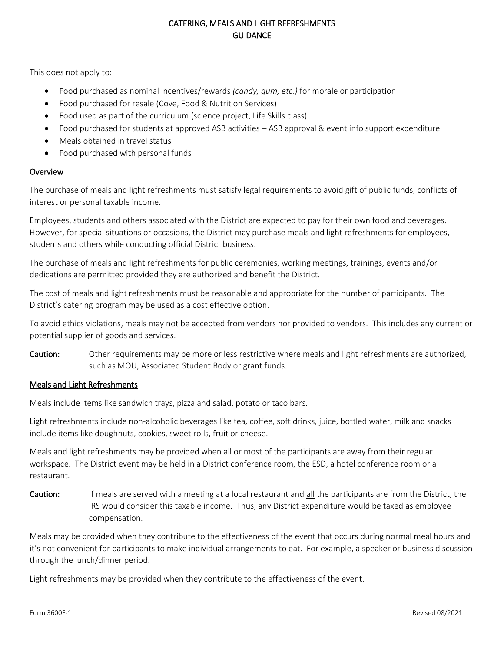# CATERING, MEALS AND LIGHT REFRESHMENTS **GUIDANCE**

This does not apply to:

- Food purchased as nominal incentives/rewards *(candy, gum, etc.)* for morale or participation
- Food purchased for resale (Cove, Food & Nutrition Services)
- Food used as part of the curriculum (science project, Life Skills class)
- Food purchased for students at approved ASB activities ASB approval & event info support expenditure
- Meals obtained in travel status
- Food purchased with personal funds

### **Overview**

The purchase of meals and light refreshments must satisfy legal requirements to avoid gift of public funds, conflicts of interest or personal taxable income.

Employees, students and others associated with the District are expected to pay for their own food and beverages. However, for special situations or occasions, the District may purchase meals and light refreshments for employees, students and others while conducting official District business.

The purchase of meals and light refreshments for public ceremonies, working meetings, trainings, events and/or dedications are permitted provided they are authorized and benefit the District.

The cost of meals and light refreshments must be reasonable and appropriate for the number of participants. The District's catering program may be used as a cost effective option.

To avoid ethics violations, meals may not be accepted from vendors nor provided to vendors. This includes any current or potential supplier of goods and services.

Caution: Other requirements may be more or less restrictive where meals and light refreshments are authorized, such as MOU, Associated Student Body or grant funds.

### Meals and Light Refreshments

Meals include items like sandwich trays, pizza and salad, potato or taco bars.

Light refreshments include non-alcoholic beverages like tea, coffee, soft drinks, juice, bottled water, milk and snacks include items like doughnuts, cookies, sweet rolls, fruit or cheese.

Meals and light refreshments may be provided when all or most of the participants are away from their regular workspace. The District event may be held in a District conference room, the ESD, a hotel conference room or a restaurant.

Caution: If meals are served with a meeting at a local restaurant and all the participants are from the District, the IRS would consider this taxable income. Thus, any District expenditure would be taxed as employee compensation.

Meals may be provided when they contribute to the effectiveness of the event that occurs during normal meal hours and it's not convenient for participants to make individual arrangements to eat. For example, a speaker or business discussion through the lunch/dinner period.

Light refreshments may be provided when they contribute to the effectiveness of the event.